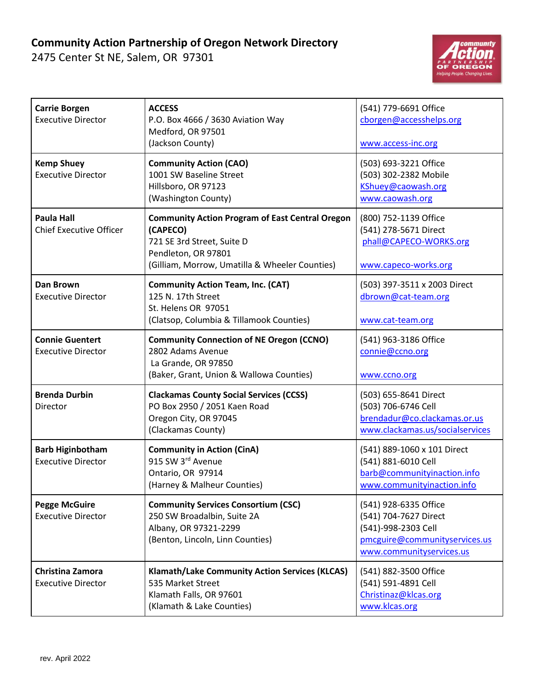## **Community Action Partnership of Oregon Network Directory**

2475 Center St NE, Salem, OR 97301



| <b>Carrie Borgen</b><br><b>Executive Director</b>    | <b>ACCESS</b><br>P.O. Box 4666 / 3630 Aviation Way<br>Medford, OR 97501<br>(Jackson County)                                                                               | (541) 779-6691 Office<br>cborgen@accesshelps.org<br>www.access-inc.org                                                             |
|------------------------------------------------------|---------------------------------------------------------------------------------------------------------------------------------------------------------------------------|------------------------------------------------------------------------------------------------------------------------------------|
| <b>Kemp Shuey</b><br><b>Executive Director</b>       | <b>Community Action (CAO)</b><br>1001 SW Baseline Street<br>Hillsboro, OR 97123<br>(Washington County)                                                                    | (503) 693-3221 Office<br>(503) 302-2382 Mobile<br>KShuey@caowash.org<br>www.caowash.org                                            |
| <b>Paula Hall</b><br><b>Chief Executive Officer</b>  | <b>Community Action Program of East Central Oregon</b><br>(CAPECO)<br>721 SE 3rd Street, Suite D<br>Pendleton, OR 97801<br>(Gilliam, Morrow, Umatilla & Wheeler Counties) | (800) 752-1139 Office<br>(541) 278-5671 Direct<br>phall@CAPECO-WORKS.org<br>www.capeco-works.org                                   |
| <b>Dan Brown</b><br><b>Executive Director</b>        | <b>Community Action Team, Inc. (CAT)</b><br>125 N. 17th Street<br>St. Helens OR 97051<br>(Clatsop, Columbia & Tillamook Counties)                                         | (503) 397-3511 x 2003 Direct<br>dbrown@cat-team.org<br>www.cat-team.org                                                            |
| <b>Connie Guentert</b><br><b>Executive Director</b>  | <b>Community Connection of NE Oregon (CCNO)</b><br>2802 Adams Avenue<br>La Grande, OR 97850<br>(Baker, Grant, Union & Wallowa Counties)                                   | (541) 963-3186 Office<br>connie@ccno.org<br>www.ccno.org                                                                           |
| <b>Brenda Durbin</b><br>Director                     | <b>Clackamas County Social Services (CCSS)</b><br>PO Box 2950 / 2051 Kaen Road<br>Oregon City, OR 97045<br>(Clackamas County)                                             | (503) 655-8641 Direct<br>(503) 706-6746 Cell<br>brendadur@co.clackamas.or.us<br>www.clackamas.us/socialservices                    |
| <b>Barb Higinbotham</b><br><b>Executive Director</b> | <b>Community in Action (CinA)</b><br>915 SW 3rd Avenue<br>Ontario, OR 97914<br>(Harney & Malheur Counties)                                                                | (541) 889-1060 x 101 Direct<br>(541) 881-6010 Cell<br>barb@communityinaction.info<br>www.communityinaction.info                    |
| <b>Pegge McGuire</b><br><b>Executive Director</b>    | <b>Community Services Consortium (CSC)</b><br>250 SW Broadalbin, Suite 2A<br>Albany, OR 97321-2299<br>(Benton, Lincoln, Linn Counties)                                    | (541) 928-6335 Office<br>(541) 704-7627 Direct<br>(541)-998-2303 Cell<br>pmcguire@communityservices.us<br>www.communityservices.us |
| Christina Zamora<br><b>Executive Director</b>        | <b>Klamath/Lake Community Action Services (KLCAS)</b><br>535 Market Street<br>Klamath Falls, OR 97601<br>(Klamath & Lake Counties)                                        | (541) 882-3500 Office<br>(541) 591-4891 Cell<br>Christinaz@klcas.org<br>www.klcas.org                                              |